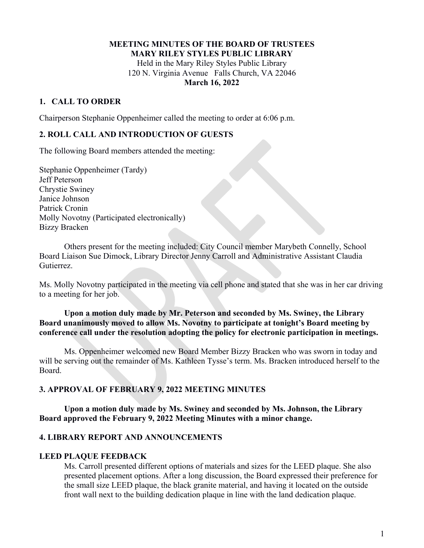### **MEETING MINUTES OF THE BOARD OF TRUSTEES MARY RILEY STYLES PUBLIC LIBRARY**  Held in the Mary Riley Styles Public Library 120 N. Virginia Avenue Falls Church, VA 22046 **March 16, 2022**

## **1. CALL TO ORDER**

Chairperson Stephanie Oppenheimer called the meeting to order at 6:06 p.m.

## **2. ROLL CALL AND INTRODUCTION OF GUESTS**

The following Board members attended the meeting:

Stephanie Oppenheimer (Tardy) Jeff Peterson Chrystie Swiney Janice Johnson Patrick Cronin Molly Novotny (Participated electronically) Bizzy Bracken

 Others present for the meeting included: City Council member Marybeth Connelly, School Board Liaison Sue Dimock, Library Director Jenny Carroll and Administrative Assistant Claudia Gutierrez.

Ms. Molly Novotny participated in the meeting via cell phone and stated that she was in her car driving to a meeting for her job.

## **Upon a motion duly made by Mr. Peterson and seconded by Ms. Swiney, the Library Board unanimously moved to allow Ms. Novotny to participate at tonight's Board meeting by conference call under the resolution adopting the policy for electronic participation in meetings.**

 Ms. Oppenheimer welcomed new Board Member Bizzy Bracken who was sworn in today and will be serving out the remainder of Ms. Kathleen Tysse's term. Ms. Bracken introduced herself to the Board.

### **3. APPROVAL OF FEBRUARY 9, 2022 MEETING MINUTES**

 **Upon a motion duly made by Ms. Swiney and seconded by Ms. Johnson, the Library Board approved the February 9, 2022 Meeting Minutes with a minor change.** 

#### **4. LIBRARY REPORT AND ANNOUNCEMENTS**

#### **LEED PLAQUE FEEDBACK**

Ms. Carroll presented different options of materials and sizes for the LEED plaque. She also presented placement options. After a long discussion, the Board expressed their preference for the small size LEED plaque, the black granite material, and having it located on the outside front wall next to the building dedication plaque in line with the land dedication plaque.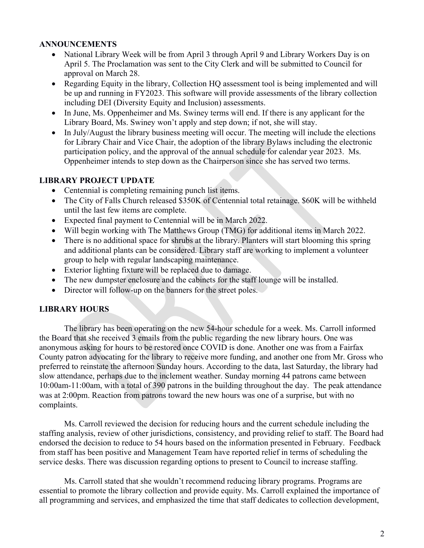## **ANNOUNCEMENTS**

- National Library Week will be from April 3 through April 9 and Library Workers Day is on April 5. The Proclamation was sent to the City Clerk and will be submitted to Council for approval on March 28.
- Regarding Equity in the library, Collection HQ assessment tool is being implemented and will be up and running in FY2023. This software will provide assessments of the library collection including DEI (Diversity Equity and Inclusion) assessments.
- In June, Ms. Oppenheimer and Ms. Swiney terms will end. If there is any applicant for the Library Board, Ms. Swiney won't apply and step down; if not, she will stay.
- In July/August the library business meeting will occur. The meeting will include the elections for Library Chair and Vice Chair, the adoption of the library Bylaws including the electronic participation policy, and the approval of the annual schedule for calendar year 2023. Ms. Oppenheimer intends to step down as the Chairperson since she has served two terms.

## **LIBRARY PROJECT UPDATE**

- Centennial is completing remaining punch list items.
- The City of Falls Church released \$350K of Centennial total retainage. \$60K will be withheld until the last few items are complete.
- Expected final payment to Centennial will be in March 2022.
- Will begin working with The Matthews Group (TMG) for additional items in March 2022.
- There is no additional space for shrubs at the library. Planters will start blooming this spring and additional plants can be considered. Library staff are working to implement a volunteer group to help with regular landscaping maintenance.
- Exterior lighting fixture will be replaced due to damage.
- The new dumpster enclosure and the cabinets for the staff lounge will be installed.
- Director will follow-up on the banners for the street poles.

### **LIBRARY HOURS**

The library has been operating on the new 54-hour schedule for a week. Ms. Carroll informed the Board that she received 3 emails from the public regarding the new library hours. One was anonymous asking for hours to be restored once COVID is done. Another one was from a Fairfax County patron advocating for the library to receive more funding, and another one from Mr. Gross who preferred to reinstate the afternoon Sunday hours. According to the data, last Saturday, the library had slow attendance, perhaps due to the inclement weather. Sunday morning 44 patrons came between 10:00am-11:00am, with a total of 390 patrons in the building throughout the day. The peak attendance was at 2:00pm. Reaction from patrons toward the new hours was one of a surprise, but with no complaints.

 Ms. Carroll reviewed the decision for reducing hours and the current schedule including the staffing analysis, review of other jurisdictions, consistency, and providing relief to staff. The Board had endorsed the decision to reduce to 54 hours based on the information presented in February. Feedback from staff has been positive and Management Team have reported relief in terms of scheduling the service desks. There was discussion regarding options to present to Council to increase staffing.

 Ms. Carroll stated that she wouldn't recommend reducing library programs. Programs are essential to promote the library collection and provide equity. Ms. Carroll explained the importance of all programming and services, and emphasized the time that staff dedicates to collection development,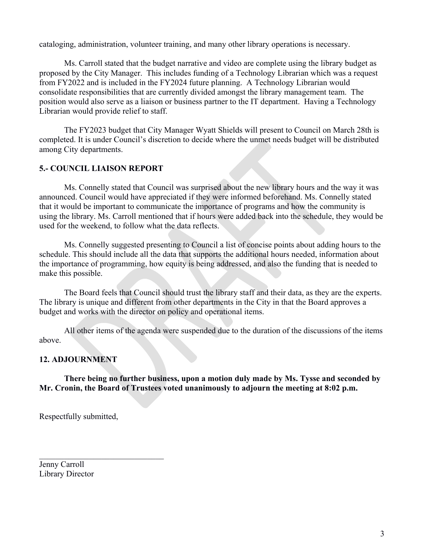cataloging, administration, volunteer training, and many other library operations is necessary.

 Ms. Carroll stated that the budget narrative and video are complete using the library budget as proposed by the City Manager. This includes funding of a Technology Librarian which was a request from FY2022 and is included in the FY2024 future planning. A Technology Librarian would consolidate responsibilities that are currently divided amongst the library management team. The position would also serve as a liaison or business partner to the IT department. Having a Technology Librarian would provide relief to staff.

 The FY2023 budget that City Manager Wyatt Shields will present to Council on March 28th is completed. It is under Council's discretion to decide where the unmet needs budget will be distributed among City departments.

## **5.- COUNCIL LIAISON REPORT**

Ms. Connelly stated that Council was surprised about the new library hours and the way it was announced. Council would have appreciated if they were informed beforehand. Ms. Connelly stated that it would be important to communicate the importance of programs and how the community is using the library. Ms. Carroll mentioned that if hours were added back into the schedule, they would be used for the weekend, to follow what the data reflects.

 Ms. Connelly suggested presenting to Council a list of concise points about adding hours to the schedule. This should include all the data that supports the additional hours needed, information about the importance of programming, how equity is being addressed, and also the funding that is needed to make this possible.

The Board feels that Council should trust the library staff and their data, as they are the experts. The library is unique and different from other departments in the City in that the Board approves a budget and works with the director on policy and operational items.

All other items of the agenda were suspended due to the duration of the discussions of the items above.

# **12. ADJOURNMENT**

 **There being no further business, upon a motion duly made by Ms. Tysse and seconded by Mr. Cronin, the Board of Trustees voted unanimously to adjourn the meeting at 8:02 p.m.**

Respectfully submitted,

Jenny Carroll Library Director